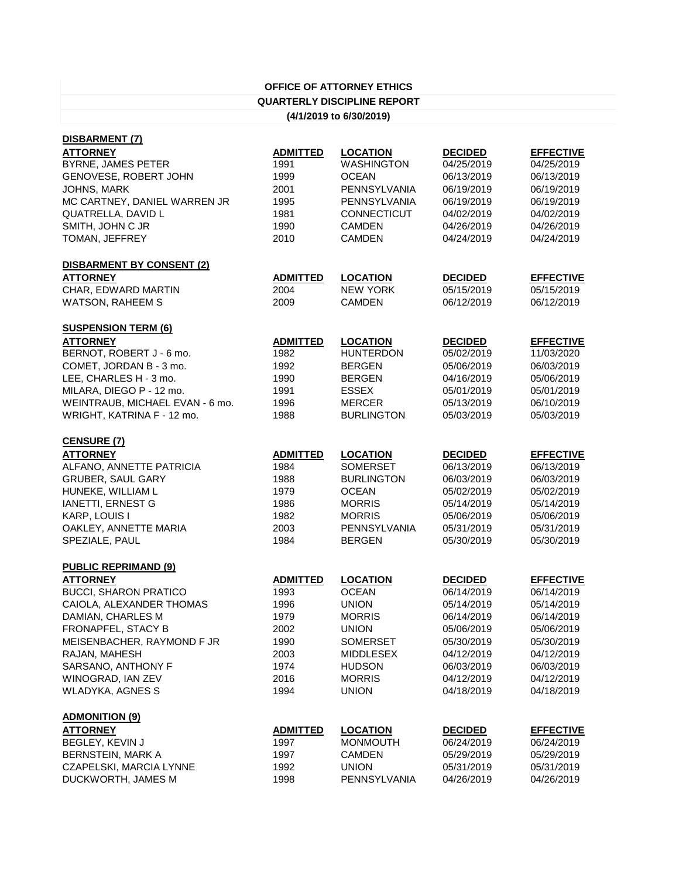## **OFFICE OF ATTORNEY ETHICS QUARTERLY DISCIPLINE REPORT (4/1/2019 to 6/30/2019)**

| DISBARMENT (7)                   |                 |                    |                |                  |
|----------------------------------|-----------------|--------------------|----------------|------------------|
| <b>ATTORNEY</b>                  | <b>ADMITTED</b> | <b>LOCATION</b>    | <b>DECIDED</b> | <b>EFFECTIVE</b> |
| BYRNE, JAMES PETER               | 1991            | WASHINGTON         | 04/25/2019     | 04/25/2019       |
| GENOVESE, ROBERT JOHN            | 1999            | <b>OCEAN</b>       | 06/13/2019     | 06/13/2019       |
| JOHNS, MARK                      | 2001            | PENNSYLVANIA       | 06/19/2019     | 06/19/2019       |
| MC CARTNEY, DANIEL WARREN JR     | 1995            | PENNSYLVANIA       | 06/19/2019     | 06/19/2019       |
| QUATRELLA, DAVID L               | 1981            | <b>CONNECTICUT</b> | 04/02/2019     | 04/02/2019       |
| SMITH, JOHN C JR                 | 1990            | <b>CAMDEN</b>      | 04/26/2019     | 04/26/2019       |
| TOMAN, JEFFREY                   | 2010            | <b>CAMDEN</b>      | 04/24/2019     | 04/24/2019       |
| <b>DISBARMENT BY CONSENT (2)</b> |                 |                    |                |                  |
| <b>ATTORNEY</b>                  | <b>ADMITTED</b> | <b>LOCATION</b>    | <b>DECIDED</b> | <b>EFFECTIVE</b> |
| CHAR, EDWARD MARTIN              | 2004            | <b>NEW YORK</b>    | 05/15/2019     | 05/15/2019       |
| <b>WATSON, RAHEEM S</b>          | 2009            | <b>CAMDEN</b>      | 06/12/2019     | 06/12/2019       |
| <b>SUSPENSION TERM (6)</b>       |                 |                    |                |                  |
| <b>ATTORNEY</b>                  | <b>ADMITTED</b> | <b>LOCATION</b>    | <b>DECIDED</b> | <b>EFFECTIVE</b> |
| BERNOT, ROBERT J - 6 mo.         | 1982            | <b>HUNTERDON</b>   | 05/02/2019     | 11/03/2020       |
| COMET, JORDAN B - 3 mo.          | 1992            | <b>BERGEN</b>      | 05/06/2019     | 06/03/2019       |
| LEE, CHARLES H - 3 mo.           | 1990            | <b>BERGEN</b>      | 04/16/2019     | 05/06/2019       |
| MILARA, DIEGO P - 12 mo.         | 1991            | <b>ESSEX</b>       | 05/01/2019     | 05/01/2019       |
| WEINTRAUB, MICHAEL EVAN - 6 mo.  | 1996            | <b>MERCER</b>      | 05/13/2019     | 06/10/2019       |
| WRIGHT, KATRINA F - 12 mo.       | 1988            | <b>BURLINGTON</b>  | 05/03/2019     | 05/03/2019       |
| <b>CENSURE (7)</b>               |                 |                    |                |                  |
| <b>ATTORNEY</b>                  | <b>ADMITTED</b> | <b>LOCATION</b>    | <b>DECIDED</b> | <b>EFFECTIVE</b> |
| ALFANO, ANNETTE PATRICIA         | 1984            | <b>SOMERSET</b>    | 06/13/2019     | 06/13/2019       |
| <b>GRUBER, SAUL GARY</b>         | 1988            | <b>BURLINGTON</b>  | 06/03/2019     | 06/03/2019       |
| HUNEKE, WILLIAM L                | 1979            | <b>OCEAN</b>       | 05/02/2019     | 05/02/2019       |
| IANETTI, ERNEST G                | 1986            | <b>MORRIS</b>      | 05/14/2019     | 05/14/2019       |
| KARP, LOUIS I                    | 1982            | <b>MORRIS</b>      | 05/06/2019     | 05/06/2019       |
| OAKLEY, ANNETTE MARIA            | 2003            | PENNSYLVANIA       | 05/31/2019     | 05/31/2019       |
| SPEZIALE, PAUL                   | 1984            | <b>BERGEN</b>      | 05/30/2019     | 05/30/2019       |
| <b>PUBLIC REPRIMAND (9)</b>      |                 |                    |                |                  |
| <b>ATTORNEY</b>                  | <b>ADMITTED</b> | <b>LOCATION</b>    | <b>DECIDED</b> | <b>EFFECTIVE</b> |
| <b>BUCCI, SHARON PRATICO</b>     | 1993            | <b>OCEAN</b>       | 06/14/2019     | 06/14/2019       |
| CAIOLA, ALEXANDER THOMAS         | 1996            | <b>UNION</b>       | 05/14/2019     | 05/14/2019       |
| DAMIAN, CHARLES M                | 1979            | <b>MORRIS</b>      | 06/14/2019     | 06/14/2019       |
| FRONAPFEL, STACY B               | 2002            | <b>UNION</b>       | 05/06/2019     | 05/06/2019       |
| MEISENBACHER, RAYMOND F JR       | 1990            | SOMERSET           | 05/30/2019     | 05/30/2019       |
| RAJAN, MAHESH                    | 2003            | <b>MIDDLESEX</b>   | 04/12/2019     | 04/12/2019       |
| SARSANO, ANTHONY F               | 1974            | <b>HUDSON</b>      | 06/03/2019     | 06/03/2019       |
| WINOGRAD, IAN ZEV                | 2016            | <b>MORRIS</b>      | 04/12/2019     | 04/12/2019       |
| <b>WLADYKA, AGNES S</b>          | 1994            | <b>UNION</b>       | 04/18/2019     | 04/18/2019       |
| <b>ADMONITION (9)</b>            |                 |                    |                |                  |
| <b>ATTORNEY</b>                  | <b>ADMITTED</b> | <b>LOCATION</b>    | <b>DECIDED</b> | <b>EFFECTIVE</b> |
| BEGLEY, KEVIN J                  | 1997            | <b>MONMOUTH</b>    | 06/24/2019     | 06/24/2019       |
| <b>BERNSTEIN, MARK A</b>         | 1997            | <b>CAMDEN</b>      | 05/29/2019     | 05/29/2019       |
| CZAPELSKI, MARCIA LYNNE          | 1992            | <b>UNION</b>       | 05/31/2019     | 05/31/2019       |
| DUCKWORTH, JAMES M               | 1998            | PENNSYLVANIA       | 04/26/2019     | 04/26/2019       |